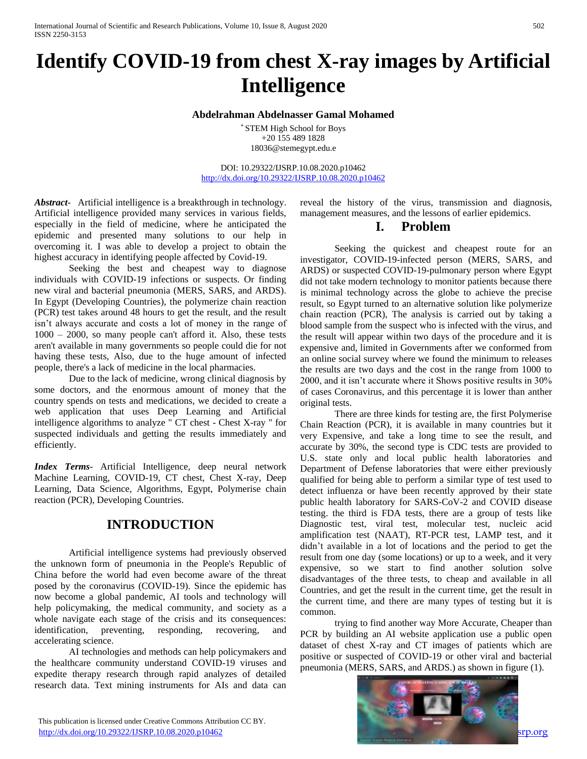# **Identify COVID-19 from chest X-ray images by Artificial Intelligence**

#### **Abdelrahman Abdelnasser Gamal Mohamed**

\* STEM High School for Boys +20 155 489 1828 18036@stemegypt.edu.e

DOI: 10.29322/IJSRP.10.08.2020.p10462 <http://dx.doi.org/10.29322/IJSRP.10.08.2020.p10462>

*Abstract*- Artificial intelligence is a breakthrough in technology. Artificial intelligence provided many services in various fields, especially in the field of medicine, where he anticipated the epidemic and presented many solutions to our help in overcoming it. I was able to develop a project to obtain the highest accuracy in identifying people affected by Covid-19.

Seeking the best and cheapest way to diagnose individuals with COVID-19 infections or suspects. Or finding new viral and bacterial pneumonia (MERS, SARS, and ARDS). In Egypt (Developing Countries), the polymerize chain reaction (PCR) test takes around 48 hours to get the result, and the result isn't always accurate and costs a lot of money in the range of 1000 – 2000, so many people can't afford it. Also, these tests aren't available in many governments so people could die for not having these tests, Also, due to the huge amount of infected people, there's a lack of medicine in the local pharmacies.

Due to the lack of medicine, wrong clinical diagnosis by some doctors, and the enormous amount of money that the country spends on tests and medications, we decided to create a web application that uses Deep Learning and Artificial intelligence algorithms to analyze " CT chest - Chest X-ray " for suspected individuals and getting the results immediately and efficiently.

*Index Terms*- Artificial Intelligence, deep neural network Machine Learning, COVID-19, CT chest, Chest X-ray, Deep Learning, Data Science, Algorithms, Egypt, Polymerise chain reaction (PCR), Developing Countries.

### **INTRODUCTION**

Artificial intelligence systems had previously observed the unknown form of pneumonia in the People's Republic of China before the world had even become aware of the threat posed by the coronavirus (COVID-19). Since the epidemic has now become a global pandemic, AI tools and technology will help policymaking, the medical community, and society as a whole navigate each stage of the crisis and its consequences: identification, preventing, responding, recovering, and accelerating science.

AI technologies and methods can help policymakers and the healthcare community understand COVID-19 viruses and expedite therapy research through rapid analyzes of detailed research data. Text mining instruments for AIs and data can reveal the history of the virus, transmission and diagnosis, management measures, and the lessons of earlier epidemics.

### **I. Problem**

Seeking the quickest and cheapest route for an investigator, COVID-19-infected person (MERS, SARS, and ARDS) or suspected COVID-19-pulmonary person where Egypt did not take modern technology to monitor patients because there is minimal technology across the globe to achieve the precise result, so Egypt turned to an alternative solution like polymerize chain reaction (PCR), The analysis is carried out by taking a blood sample from the suspect who is infected with the virus, and the result will appear within two days of the procedure and it is expensive and, limited in Governments after we conformed from an online social survey where we found the minimum to releases the results are two days and the cost in the range from 1000 to 2000, and it isn't accurate where it Shows positive results in 30% of cases Coronavirus, and this percentage it is lower than anther original tests.

There are three kinds for testing are, the first Polymerise Chain Reaction (PCR), it is available in many countries but it very Expensive, and take a long time to see the result, and accurate by 30%, the second type is CDC tests are provided to U.S. state only and local public health laboratories and Department of Defense laboratories that were either previously qualified for being able to perform a similar type of test used to detect influenza or have been recently approved by their state public health laboratory for SARS-CoV-2 and COVID disease testing. the third is FDA tests, there are a group of tests like Diagnostic test, viral test, molecular test, nucleic acid amplification test (NAAT), RT-PCR test, LAMP test, and it didn't available in a lot of locations and the period to get the result from one day (some locations) or up to a week, and it very expensive, so we start to find another solution solve disadvantages of the three tests, to cheap and available in all Countries, and get the result in the current time, get the result in the current time, and there are many types of testing but it is common.

trying to find another way More Accurate, Cheaper than PCR by building an AI website application use a public open dataset of chest X-ray and CT images of patients which are positive or suspected of COVID-19 or other viral and bacterial pneumonia (MERS, SARS, and ARDS.) as shown in figure (1).



 This publication is licensed under Creative Commons Attribution CC BY. <http://dx.doi.org/10.29322/IJSRP.10.08.2020.p10462> [www.ijsrp.org](http://ijsrp.org/) specifical wave in the state of the state of the state of the state of the state of the state of the state of the state of the state of the state of the stat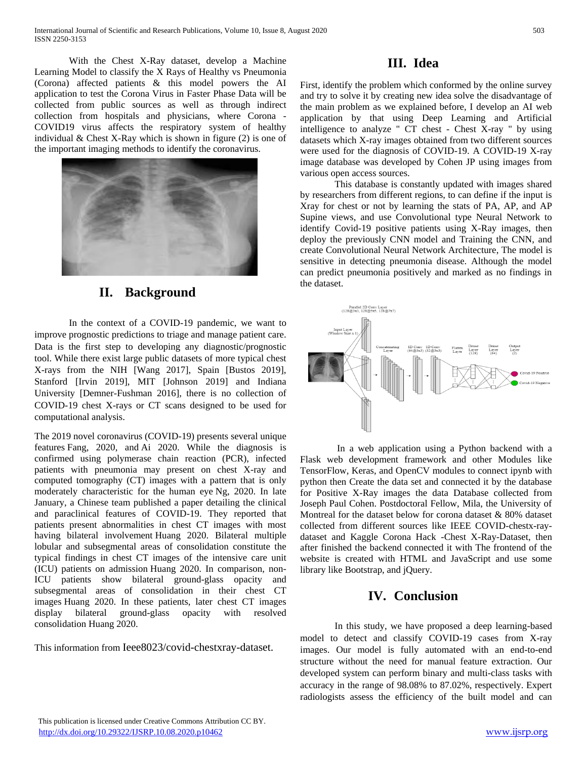With the Chest X-Ray dataset, develop a Machine Learning Model to classify the X Rays of Healthy vs Pneumonia (Corona) affected patients & this model powers the AI application to test the Corona Virus in Faster Phase Data will be collected from public sources as well as through indirect collection from hospitals and physicians, where Corona - COVID19 virus affects the respiratory system of healthy individual  $&$  Chest X-Ray which is shown in figure (2) is one of the important imaging methods to identify the coronavirus.



# **II. Background**

In the context of a COVID-19 pandemic, we want to improve prognostic predictions to triage and manage patient care. Data is the first step to developing any diagnostic/prognostic tool. While there exist large public datasets of more typical chest X-rays from the NIH [Wang 2017], Spain [Bustos 2019], Stanford [Irvin 2019], MIT [Johnson 2019] and Indiana University [Demner-Fushman 2016], there is no collection of COVID-19 chest X-rays or CT scans designed to be used for computational analysis.

The 2019 novel coronavirus (COVID-19) presents several unique features [Fang, 2020,](https://pubs.rsna.org/doi/10.1148/radiol.2020200432) and [Ai 2020.](https://pubs.rsna.org/doi/10.1148/radiol.2020200642) While the diagnosis is confirmed using polymerase chain reaction (PCR), infected patients with pneumonia may present on chest X-ray and computed tomography (CT) images with a pattern that is only moderately characteristic for the human eye [Ng, 2020.](https://pubs.rsna.org/doi/10.1148/ryct.2020200034) In late January, a Chinese team published a paper detailing the clinical and paraclinical features of COVID-19. They reported that patients present abnormalities in chest CT images with most having bilateral involvement [Huang 2020.](https://www.thelancet.com/journals/lancet/article/PIIS0140-6736(20)30183-5/fulltext) Bilateral multiple lobular and subsegmental areas of consolidation constitute the typical findings in chest CT images of the intensive care unit (ICU) patients on admission [Huang 2020.](https://www.thelancet.com/journals/lancet/article/PIIS0140-6736(20)30183-5/fulltext) In comparison, non-ICU patients show bilateral ground-glass opacity and subsegmental areas of consolidation in their chest CT images [Huang 2020.](https://www.thelancet.com/journals/lancet/article/PIIS0140-6736(20)30183-5/fulltext) In these patients, later chest CT images display bilateral ground-glass opacity with resolved consolidation [Huang 2020.](https://www.thelancet.com/journals/lancet/article/PIIS0140-6736(20)30183-5/fulltext)

This information from Ieee8023/covid-chestxray-dataset.

## **III. Idea**

First, identify the problem which conformed by the online survey and try to solve it by creating new idea solve the disadvantage of the main problem as we explained before, I develop an AI web application by that using Deep Learning and Artificial intelligence to analyze " CT chest - Chest X-ray " by using datasets which X-ray images obtained from two different sources were used for the diagnosis of COVID-19. A COVID-19 X-ray image database was developed by [Cohen JP](https://github.com/ieee8023/COVID-chestxray-dataset) using images from various open access sources.

This database is constantly updated with images shared by researchers from different regions, to can define if the input is Xray for chest or not by learning the stats of PA, AP, and AP Supine views, and use Convolutional type Neural Network to identify Covid-19 positive patients using X-Ray images, then deploy the previously CNN model and Training the CNN, and create Convolutional Neural Network Architecture, The model is sensitive in detecting pneumonia disease. Although the model can predict pneumonia positively and marked as no findings in the dataset.



In a web application using a Python backend with a Flask web development framework and other Modules like TensorFlow, Keras, and OpenCV modules to connect ipynb with python then Create the data set and connected it by the database for Positive X-Ray images the data Database collected from Joseph Paul Cohen. Postdoctoral Fellow, Mila, the University of Montreal for the dataset below for corona dataset & 80% dataset collected from different sources like IEEE COVID-chestx-raydataset and Kaggle Corona Hack -Chest X-Ray-Dataset, then after finished the backend connected it with The frontend of the website is created with HTML and JavaScript and use some library like Bootstrap, and jQuery.

# **IV. Conclusion**

In this study, we have proposed a deep learning-based model to detect and classify COVID-19 cases from X-ray images. Our model is fully automated with an end-to-end structure without the need for manual feature extraction. Our developed system can perform binary and multi-class tasks with accuracy in the range of 98.08% to 87.02%, respectively. Expert radiologists assess the efficiency of the built model and can